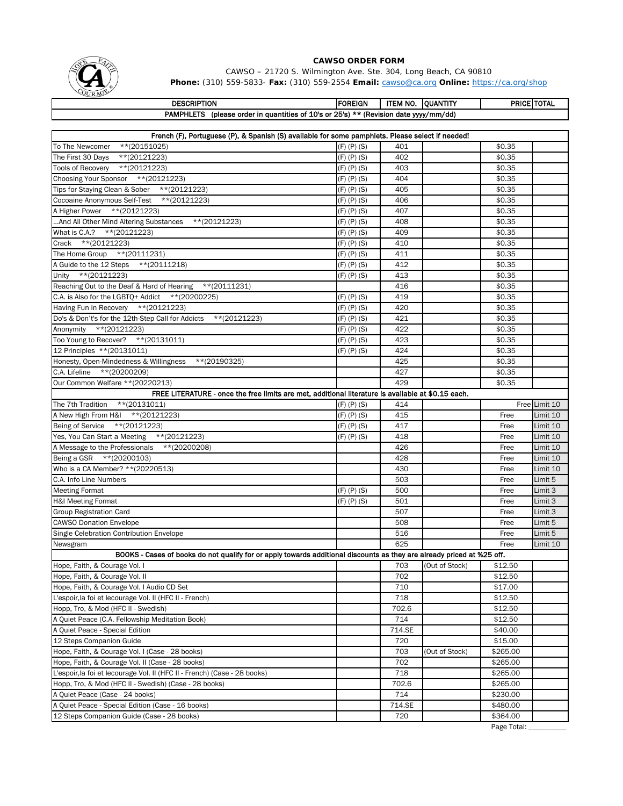

CAWSO – 21720 S. Wilmington Ave. Ste. 304, Long Beach, CA 90810 **Phone:** (310) 559-5833- **Fax:** (310) 559-2554 **Email:** cawso@ca.org **Online:** https://ca.org/shop

| <b>DESCRIPTION</b>                                                                              | <b>IFOREIGN</b> | ITEM NO. | IOUANTITY | <b>PRICE TOTAL</b> |
|-------------------------------------------------------------------------------------------------|-----------------|----------|-----------|--------------------|
| <b>PAMPHLETS</b><br>(please order in quantities of 10's or 25's) $**$ (Revision date yyy/mm/dd) |                 |          |           |                    |
|                                                                                                 |                 |          |           |                    |

| French (F), Portuguese (P), & Spanish (S) available for some pamphlets. Please select if needed!                       |                   |        |                |          |               |
|------------------------------------------------------------------------------------------------------------------------|-------------------|--------|----------------|----------|---------------|
| To The Newcomer<br>**(20151025)                                                                                        | $(F)$ $(P)$ $(S)$ | 401    |                | \$0.35   |               |
| $**$ (20121223)<br>The First 30 Days                                                                                   | $(F)$ $(P)$ $(S)$ | 402    |                | \$0.35   |               |
| $*$ (20121223)<br>Tools of Recovery                                                                                    | $(F)$ $(P)$ $(S)$ | 403    |                | \$0.35   |               |
| Choosing Your Sponsor ** (20121223)                                                                                    | $(F)$ $(P)$ $(S)$ | 404    |                | \$0.35   |               |
| Tips for Staying Clean & Sober ** (20121223)                                                                           | $(F)$ $(P)$ $(S)$ | 405    |                | \$0.35   |               |
| Cocoaine Anonymous Self-Test ** (20121223)                                                                             | $(F)$ $(P)$ $(S)$ | 406    |                | \$0.35   |               |
| A Higher Power ** (20121223)                                                                                           | $(F)$ $(P)$ $(S)$ | 407    |                | \$0.35   |               |
| And All Other Mind Altering Substances ** (20121223)                                                                   | $(F)$ $(P)$ $(S)$ | 408    |                | \$0.35   |               |
| What is C.A.? ** (20121223)                                                                                            | $(F)$ $(P)$ $(S)$ | 409    |                | \$0.35   |               |
| Crack **(20121223)                                                                                                     | $(F)$ $(P)$ $(S)$ | 410    |                | \$0.35   |               |
| The Home Group ** (20111231)                                                                                           | $(F)$ $(P)$ $(S)$ | 411    |                | \$0.35   |               |
| A Guide to the 12 Steps ** (20111218)                                                                                  | $(F)$ $(P)$ $(S)$ | 412    |                | \$0.35   |               |
| Unity **(20121223)                                                                                                     | $(F)$ $(P)$ $(S)$ | 413    |                | \$0.35   |               |
| Reaching Out to the Deaf & Hard of Hearing ** (20111231)                                                               |                   | 416    |                | \$0.35   |               |
| C.A. is Also for the LGBTQ+ Addict **(20200225)                                                                        | $(F)$ $(P)$ $(S)$ | 419    |                | \$0.35   |               |
| Having Fun in Recovery ** (20121223)                                                                                   | $(F)$ $(P)$ $(S)$ | 420    |                | \$0.35   |               |
| $*$ (20121223)<br>Do's & Don't's for the 12th-Step Call for Addicts                                                    | $(F)$ $(P)$ $(S)$ | 421    |                | \$0.35   |               |
| Anonymity **(20121223)                                                                                                 | $(F)$ $(P)$ $(S)$ | 422    |                | \$0.35   |               |
| Too Young to Recover? ** (20131011)                                                                                    | $(F)$ $(P)$ $(S)$ | 423    |                | \$0.35   |               |
| 12 Principles ** (20131011)                                                                                            | $(F)$ $(P)$ $(S)$ | 424    |                | \$0.35   |               |
| Honesty, Open-Mindedness & Willingness<br>**(20190325)                                                                 |                   | 425    |                | \$0.35   |               |
| C.A. Lifeline ** (20200209)                                                                                            |                   | 427    |                | \$0.35   |               |
| Our Common Welfare **(20220213)                                                                                        |                   | 429    |                | \$0.35   |               |
| FREE LITERATURE - once the free limits are met, additional literature is available at \$0.15 each.                     |                   |        |                |          |               |
| The 7th Tradition ** (20131011)                                                                                        | $(F)$ $(P)$ $(S)$ | 414    |                |          | Free Limit 10 |
| A New High From H&I ** (20121223)                                                                                      | $(F)$ $(P)$ $(S)$ | 415    |                | Free     | Limit 10      |
| Being of Service ** (20121223)                                                                                         | $(F)$ $(P)$ $(S)$ | 417    |                | Free     | Limit 10      |
| Yes, You Can Start a Meeting ** (20121223)                                                                             | $(F)$ $(P)$ $(S)$ | 418    |                | Free     | Limit 10      |
| A Message to the Professionals ** (20200208)                                                                           |                   | 426    |                | Free     | Limit 10      |
| Being a GSR ** (20200103)                                                                                              |                   | 428    |                | Free     | Limit 10      |
| Who is a CA Member? **(20220513)                                                                                       |                   | 430    |                | Free     | Limit 10      |
| C.A. Info Line Numbers                                                                                                 |                   | 503    |                | Free     | Limit 5       |
| <b>Meeting Format</b>                                                                                                  | $(F)$ $(P)$ $(S)$ | 500    |                | Free     | Limit 3       |
| <b>H&amp;I Meeting Format</b>                                                                                          | $(F)$ $(P)$ $(S)$ | 501    |                | Free     | Limit 3       |
| <b>Group Registration Card</b>                                                                                         |                   | 507    |                | Free     | Limit 3       |
| <b>CAWSO Donation Envelope</b>                                                                                         |                   | 508    |                | Free     | Limit 5       |
| Single Celebration Contribution Envelope                                                                               |                   | 516    |                | Free     | Limit 5       |
| Newsgram                                                                                                               |                   | 625    |                | Free     | Limit 10      |
| BOOKS - Cases of books do not qualify for or apply towards additional discounts as they are already priced at %25 off. |                   |        |                |          |               |
| Hope, Faith, & Courage Vol. I                                                                                          |                   | 703    | (Out of Stock) | \$12.50  |               |
| Hope, Faith, & Courage Vol. II                                                                                         |                   | 702    |                | \$12.50  |               |
| Hope, Faith, & Courage Vol. I Audio CD Set                                                                             |                   | 710    |                | \$17.00  |               |
| L'espoir, la foi et lecourage Vol. Il (HFC II - French)                                                                |                   | 718    |                | \$12.50  |               |
| Hopp, Tro, & Mod (HFC II - Swedish)                                                                                    |                   | 702.6  |                | \$12.50  |               |
| A Quiet Peace (C.A. Fellowship Meditation Book)                                                                        |                   | 714    |                | \$12.50  |               |
| A Quiet Peace - Special Edition                                                                                        |                   | 714.SE |                | \$40.00  |               |
| 12 Steps Companion Guide                                                                                               |                   | 720    |                | \$15.00  |               |
| Hope, Faith, & Courage Vol. I (Case - 28 books)                                                                        |                   | 703    | (Out of Stock) | \$265.00 |               |
| Hope, Faith, & Courage Vol. II (Case - 28 books)                                                                       |                   | 702    |                | \$265.00 |               |
| L'espoir, la foi et lecourage Vol. II (HFC II - French) (Case - 28 books)                                              |                   | 718    |                | \$265.00 |               |
| Hopp, Tro, & Mod (HFC II - Swedish) (Case - 28 books)                                                                  |                   | 702.6  |                | \$265.00 |               |
| A Quiet Peace (Case - 24 books)                                                                                        |                   | 714    |                | \$230.00 |               |
| A Quiet Peace - Special Edition (Case - 16 books)                                                                      |                   | 714.SE |                | \$480.00 |               |
| 12 Steps Companion Guide (Case - 28 books)                                                                             |                   | 720    |                | \$364.00 |               |
|                                                                                                                        |                   |        |                |          |               |

Page Total: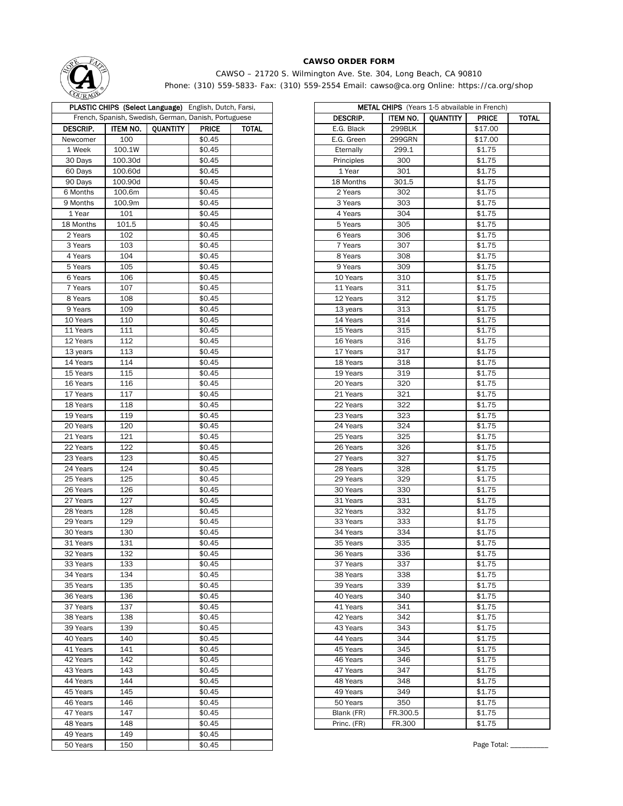

CAWSO – 21720 S. Wilmington Ave. Ste. 304, Long Beach, CA 90810 Phone: (310) 559-5833- Fax: (310) 559-2554 Email: cawso@ca.org Online: https://ca.org/shop

| <b>CONNO</b>    |          |                                                               |              |       |                      |          |                                                  |              |
|-----------------|----------|---------------------------------------------------------------|--------------|-------|----------------------|----------|--------------------------------------------------|--------------|
|                 |          | <b>PLASTIC CHIPS (Select Language)</b> English, Dutch, Farsi, |              |       |                      |          | <b>METAL CHIPS</b> (Years 1-5 abvailable in Fren |              |
|                 |          | French, Spanish, Swedish, German, Danish, Portuguese          |              |       | <b>DESCRIP.</b>      | ITEM NO. | <b>QUANTITY</b>                                  | <b>PRICE</b> |
| <b>DESCRIP.</b> | ITEM NO. | QUANTITY                                                      | <b>PRICE</b> | TOTAL | E.G. Black           | 299BLK   |                                                  | \$17.00      |
| Newcomer        | 100      |                                                               | \$0.45       |       | E.G. Green           | 299GRN   |                                                  | \$17.00      |
| 1 Week          | 100.1W   |                                                               | \$0.45       |       | Eternally            | 299.1    |                                                  | \$1.75       |
| 30 Days         | 100.30d  |                                                               | \$0.45       |       | Principles           | 300      |                                                  | \$1.75       |
| 60 Days         | 100.60d  |                                                               | \$0.45       |       | 1 Year               | 301      |                                                  | \$1.75       |
| 90 Days         | 100.90d  |                                                               | \$0.45       |       | 18 Months            | 301.5    |                                                  | \$1.75       |
| 6 Months        | 100.6m   |                                                               | \$0.45       |       | 2 Years              | 302      |                                                  | \$1.75       |
| 9 Months        | 100.9m   |                                                               | \$0.45       |       | 3 Years              | 303      |                                                  | \$1.75       |
| 1 Year          | 101      |                                                               | \$0.45       |       | 4 Years              | 304      |                                                  | \$1.75       |
| 18 Months       | 101.5    |                                                               | \$0.45       |       | 5 Years              | 305      |                                                  | \$1.75       |
| 2 Years         | 102      |                                                               | \$0.45       |       | 6 Years              | 306      |                                                  | \$1.75       |
| 3 Years         | 103      |                                                               | \$0.45       |       | 7 Years              | 307      |                                                  | \$1.75       |
| 4 Years         | 104      |                                                               | \$0.45       |       | 8 Years              | 308      |                                                  | \$1.75       |
| 5 Years         | 105      |                                                               | \$0.45       |       | 9 Years              | 309      |                                                  | \$1.75       |
| 6 Years         | 106      |                                                               | \$0.45       |       | 10 Years             | 310      |                                                  | \$1.75       |
| 7 Years         | 107      |                                                               | \$0.45       |       | 11 Years             | 311      |                                                  | \$1.75       |
| 8 Years         | 108      |                                                               | \$0.45       |       | 12 Years             | 312      |                                                  | \$1.75       |
| 9 Years         | 109      |                                                               | \$0.45       |       |                      | 313      |                                                  | \$1.75       |
| 10 Years        | 110      |                                                               | \$0.45       |       | 13 years<br>14 Years | 314      |                                                  | \$1.75       |
| 11 Years        |          |                                                               |              |       |                      |          |                                                  | \$1.75       |
|                 | 111      |                                                               | \$0.45       |       | 15 Years             | 315      |                                                  |              |
| 12 Years        | 112      |                                                               | \$0.45       |       | 16 Years             | 316      |                                                  | \$1.75       |
| 13 years        | 113      |                                                               | \$0.45       |       | 17 Years             | 317      |                                                  | \$1.75       |
| 14 Years        | 114      |                                                               | \$0.45       |       | 18 Years             | 318      |                                                  | \$1.75       |
| 15 Years        | 115      |                                                               | \$0.45       |       | 19 Years             | 319      |                                                  | \$1.75       |
| 16 Years        | 116      |                                                               | \$0.45       |       | 20 Years             | 320      |                                                  | \$1.75       |
| 17 Years        | 117      |                                                               | \$0.45       |       | 21 Years             | 321      |                                                  | \$1.75       |
| 18 Years        | 118      |                                                               | \$0.45       |       | 22 Years             | 322      |                                                  | \$1.75       |
| 19 Years        | 119      |                                                               | \$0.45       |       | 23 Years             | 323      |                                                  | \$1.75       |
| 20 Years        | 120      |                                                               | \$0.45       |       | 24 Years             | 324      |                                                  | \$1.75       |
| 21 Years        | 121      |                                                               | \$0.45       |       | 25 Years             | 325      |                                                  | \$1.75       |
| 22 Years        | 122      |                                                               | \$0.45       |       | 26 Years             | 326      |                                                  | \$1.75       |
| 23 Years        | 123      |                                                               | \$0.45       |       | 27 Years             | 327      |                                                  | \$1.75       |
| 24 Years        | 124      |                                                               | \$0.45       |       | 28 Years             | 328      |                                                  | \$1.75       |
| 25 Years        | 125      |                                                               | \$0.45       |       | 29 Years             | 329      |                                                  | \$1.75       |
| 26 Years        | 126      |                                                               | \$0.45       |       | 30 Years             | 330      |                                                  | \$1.75       |
| 27 Years        | 127      |                                                               | \$0.45       |       | 31 Years             | 331      |                                                  | \$1.75       |
| 28 Years        | 128      |                                                               | \$0.45       |       | 32 Years             | 332      |                                                  | \$1.75       |
| 29 Years        | 129      |                                                               | \$0.45       |       | 33 Years             | 333      |                                                  | \$1.75       |
| 30 Years        | 130      |                                                               | \$0.45       |       | 34 Years             | 334      |                                                  | \$1.75       |
| 31 Years        | 131      |                                                               | \$0.45       |       | 35 Years             | 335      |                                                  | \$1.75       |
| 32 Years        | 132      |                                                               | \$0.45       |       | 36 Years             | 336      |                                                  | \$1.75       |
| 33 Years        | 133      |                                                               | \$0.45       |       | 37 Years             | 337      |                                                  | \$1.75       |
| 34 Years        | 134      |                                                               | \$0.45       |       | 38 Years             | 338      |                                                  | \$1.75       |
| 35 Years        | 135      |                                                               | \$0.45       |       | 39 Years             | 339      |                                                  | \$1.75       |
| 36 Years        | 136      |                                                               | \$0.45       |       | 40 Years             | 340      |                                                  | \$1.75       |
| 37 Years        | 137      |                                                               | \$0.45       |       | 41 Years             | 341      |                                                  | \$1.75       |
| 38 Years        | 138      |                                                               | \$0.45       |       | 42 Years             | 342      |                                                  | \$1.75       |
| 39 Years        | 139      |                                                               | \$0.45       |       | 43 Years             | 343      |                                                  | \$1.75       |
| 40 Years        | 140      |                                                               | \$0.45       |       | 44 Years             | 344      |                                                  | \$1.75       |
| 41 Years        | 141      |                                                               |              |       |                      |          |                                                  | \$1.75       |
|                 |          |                                                               | \$0.45       |       | 45 Years             | 345      |                                                  |              |
| 42 Years        | 142      |                                                               | \$0.45       |       | 46 Years             | 346      |                                                  | \$1.75       |
| 43 Years        | 143      |                                                               | \$0.45       |       | 47 Years             | 347      |                                                  | \$1.75       |
| 44 Years        | 144      |                                                               | \$0.45       |       | 48 Years             | 348      |                                                  | \$1.75       |
| 45 Years        | 145      |                                                               | \$0.45       |       | 49 Years             | 349      |                                                  | \$1.75       |
| 46 Years        | 146      |                                                               | \$0.45       |       | 50 Years             | 350      |                                                  | \$1.75       |
| 47 Years        | 147      |                                                               | \$0.45       |       | Blank (FR)           | FR.300.5 |                                                  | \$1.75       |
| 48 Years        | 148      |                                                               | \$0.45       |       | Princ. (FR)          | FR.300   |                                                  | \$1.75       |
| 49 Years        | 149      |                                                               | \$0.45       |       |                      |          |                                                  |              |
| 50 Years        | 150      |                                                               | \$0.45       |       |                      |          |                                                  | Page To      |

| <b>METAL CHIPS</b> (Years 1-5 abvailable in French) |          |                 |              |              |  |  |
|-----------------------------------------------------|----------|-----------------|--------------|--------------|--|--|
| <b>DESCRIP.</b>                                     | ITEM NO. | <b>QUANTITY</b> | <b>PRICE</b> | <b>TOTAL</b> |  |  |
| E.G. Black                                          | 299BLK   |                 | \$17.00      |              |  |  |
| E.G. Green                                          | 299GRN   |                 | \$17.00      |              |  |  |
| Eternally                                           | 299.1    |                 | \$1.75       |              |  |  |
| Principles                                          | 300      |                 | \$1.75       |              |  |  |
| 1 Year                                              | 301      |                 | \$1.75       |              |  |  |
| 18 Months                                           | 301.5    |                 | \$1.75       |              |  |  |
| 2 Years                                             | 302      |                 | \$1.75       |              |  |  |
| 3 Years                                             | 303      |                 | \$1.75       |              |  |  |
| 4 Years                                             | 304      |                 | \$1.75       |              |  |  |
| 5 Years                                             | 305      |                 | \$1.75       |              |  |  |
| 6 Years                                             | 306      |                 | \$1.75       |              |  |  |
| 7 Years                                             | 307      |                 | \$1.75       |              |  |  |
| 8 Years                                             | 308      |                 | \$1.75       |              |  |  |
| 9 Years                                             | 309      |                 | \$1.75       |              |  |  |
| 10 Years                                            | 310      |                 | \$1.75       |              |  |  |
| 11 Years                                            | 311      |                 | \$1.75       |              |  |  |
| 12 Years                                            | 312      |                 | \$1.75       |              |  |  |
| 13 years                                            | 313      |                 | \$1.75       |              |  |  |
| 14 Years                                            | 314      |                 | \$1.75       |              |  |  |
| 15 Years                                            | 315      |                 | \$1.75       |              |  |  |
| 16 Years                                            | 316      |                 | \$1.75       |              |  |  |
| 17 Years                                            | 317      |                 | \$1.75       |              |  |  |
| 18 Years                                            | 318      |                 | \$1.75       |              |  |  |
| 19 Years                                            | 319      |                 | \$1.75       |              |  |  |
| 20 Years                                            | 320      |                 | \$1.75       |              |  |  |
| 21 Years                                            | 321      |                 | \$1.75       |              |  |  |
| 22 Years                                            | 322      |                 | \$1.75       |              |  |  |
| 23 Years                                            | 323      |                 | \$1.75       |              |  |  |
| 24 Years                                            | 324      |                 | \$1.75       |              |  |  |
| 25 Years                                            | 325      |                 | \$1.75       |              |  |  |
| 26 Years                                            | 326      |                 | \$1.75       |              |  |  |
| 27 Years                                            | 327      |                 | \$1.75       |              |  |  |
| 28 Years                                            | 328      |                 | \$1.75       |              |  |  |
| 29 Years                                            | 329      |                 | \$1.75       |              |  |  |
| 30 Years                                            | 330      |                 | \$1.75       |              |  |  |
| 31 Years                                            | 331      |                 | \$1.75       |              |  |  |
| 32 Years                                            | 332      |                 | \$1.75       |              |  |  |
| 33 Years                                            | 333      |                 | \$1.75       |              |  |  |
| 34 Years                                            | 334      |                 | \$1.75       |              |  |  |
| 35 Years                                            | 335      |                 | \$1.75       |              |  |  |
| 36 Years                                            | 336      |                 | \$1.75       |              |  |  |
| 37 Years                                            | 337      |                 | \$1.75       |              |  |  |
| 38 Years                                            | 338      |                 | \$1.75       |              |  |  |
| 39 Years                                            | 339      |                 | \$1.75       |              |  |  |
| 40 Years                                            | 340      |                 | \$1.75       |              |  |  |
| 41 Years                                            | 341      |                 | \$1.75       |              |  |  |
| 42 Years                                            | 342      |                 | \$1.75       |              |  |  |
| 43 Years                                            | 343      |                 | \$1.75       |              |  |  |
| 44 Years                                            | 344      |                 | \$1.75       |              |  |  |
| 45 Years                                            | 345      |                 | \$1.75       |              |  |  |
| 46 Years                                            | 346      |                 | \$1.75       |              |  |  |
| 47 Years                                            | 347      |                 | \$1.75       |              |  |  |
| 48 Years                                            | 348      |                 | \$1.75       |              |  |  |
| 49 Years                                            | 349      |                 | \$1.75       |              |  |  |
| 50 Years                                            | 350      |                 | \$1.75       |              |  |  |
| Blank (FR)                                          | FR.300.5 |                 | \$1.75       |              |  |  |
| Princ. (FR)                                         | FR.300   |                 | \$1.75       |              |  |  |

Page Total: \_\_\_\_\_\_\_\_\_\_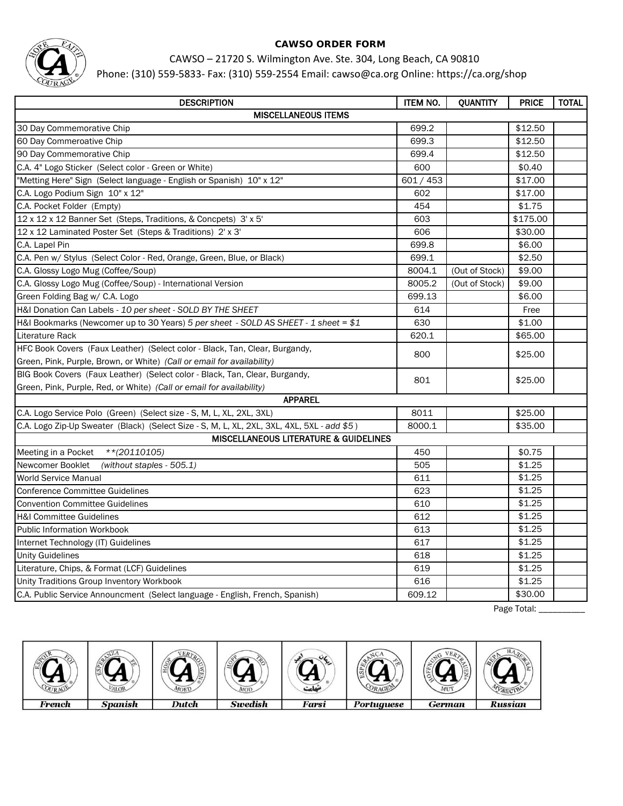

# CAWSO – 21720 S. Wilmington Ave. Ste. 304, Long Beach, CA 90810

Phone: (310) 559-5833- Fax: (310) 559-2554 Email: cawso@ca.org Online: https://ca.org/shop

| <b>DESCRIPTION</b>                                                                         | <b>ITEM NO.</b> | QUANTITY       | <b>PRICE</b> | <b>TOTAL</b> |  |
|--------------------------------------------------------------------------------------------|-----------------|----------------|--------------|--------------|--|
| <b>MISCELLANEOUS ITEMS</b>                                                                 |                 |                |              |              |  |
| 30 Day Commemorative Chip                                                                  | 699.2           |                | \$12.50      |              |  |
| 60 Day Commeroative Chip                                                                   | 699.3           |                | \$12.50      |              |  |
| 90 Day Commemorative Chip                                                                  | 699.4           |                | \$12.50      |              |  |
| C.A. 4" Logo Sticker (Select color - Green or White)                                       | 600             |                | \$0.40       |              |  |
| "Metting Here" Sign (Select language - English or Spanish) 10" x 12"                       | 601 / 453       |                | \$17.00      |              |  |
| C.A. Logo Podium Sign 10" x 12"                                                            | 602             |                | \$17.00      |              |  |
| C.A. Pocket Folder (Empty)                                                                 | 454             |                | \$1.75       |              |  |
| 12 x 12 x 12 Banner Set (Steps, Traditions, & Concpets) 3' x 5'                            | 603             |                | \$175.00     |              |  |
| 12 x 12 Laminated Poster Set (Steps & Traditions) 2' x 3'                                  | 606             |                | \$30.00      |              |  |
| C.A. Lapel Pin                                                                             | 699.8           |                | \$6.00       |              |  |
| C.A. Pen w/ Stylus (Select Color - Red, Orange, Green, Blue, or Black)                     | 699.1           |                | \$2.50       |              |  |
| C.A. Glossy Logo Mug (Coffee/Soup)                                                         | 8004.1          | (Out of Stock) | \$9.00       |              |  |
| C.A. Glossy Logo Mug (Coffee/Soup) - International Version                                 | 8005.2          | (Out of Stock) | \$9.00       |              |  |
| Green Folding Bag w/ C.A. Logo                                                             | 699.13          |                | \$6.00       |              |  |
| H&I Donation Can Labels - 10 per sheet - SOLD BY THE SHEET                                 | 614             |                | Free         |              |  |
| H&I Bookmarks (Newcomer up to 30 Years) 5 per sheet - SOLD AS SHEET - 1 sheet = \$1        | 630             |                | \$1.00       |              |  |
| Literature Rack                                                                            | 620.1           |                | \$65.00      |              |  |
| HFC Book Covers (Faux Leather) (Select color - Black, Tan, Clear, Burgandy,                | 800             |                | \$25.00      |              |  |
| Green, Pink, Purple, Brown, or White) (Call or email for availability)                     |                 |                |              |              |  |
| BIG Book Covers (Faux Leather) (Select color - Black, Tan, Clear, Burgandy,                | 801             |                | \$25.00      |              |  |
| Green, Pink, Purple, Red, or White) (Call or email for availability)                       |                 |                |              |              |  |
| <b>APPAREL</b>                                                                             |                 |                |              |              |  |
| C.A. Logo Service Polo (Green) (Select size - S, M, L, XL, 2XL, 3XL)                       | 8011            |                | \$25.00      |              |  |
| C.A. Logo Zip-Up Sweater (Black) (Select Size - S, M, L, XL, 2XL, 3XL, 4XL, 5XL - add \$5) | 8000.1          |                | \$35.00      |              |  |
| <b>MISCELLANEOUS LITERATURE &amp; GUIDELINES</b>                                           |                 |                |              |              |  |
| $**$ (20110105)<br>Meeting in a Pocket                                                     | 450             |                | \$0.75       |              |  |
| (without staples - 505.1)<br>Newcomer Booklet                                              | 505             |                | \$1.25       |              |  |
| <b>World Service Manual</b>                                                                | 611             |                | \$1.25       |              |  |
| <b>Conference Committee Guidelines</b>                                                     | 623             |                | \$1.25       |              |  |
| <b>Convention Committee Guidelines</b>                                                     | 610             |                | \$1.25       |              |  |
| <b>H&amp;I Committee Guidelines</b>                                                        | 612             |                | \$1.25       |              |  |
| <b>Public Information Workbook</b>                                                         | 613             |                | \$1.25       |              |  |
| Internet Technology (IT) Guidelines                                                        | 617             |                | \$1.25       |              |  |
| <b>Unity Guidelines</b>                                                                    | 618             |                | \$1.25       |              |  |
| Literature, Chips, & Format (LCF) Guidelines                                               | 619             |                | \$1.25       |              |  |
| Unity Traditions Group Inventory Workbook                                                  | 616             |                | \$1.25       |              |  |
| C.A. Public Service Announcment (Select language - English, French, Spanish)               | 609.12          |                | \$30.00      |              |  |

Page Total: \_\_\_\_\_\_\_\_\_\_

| ίzĴ<br>OURAGY | <b>ZALOR</b>   | ERT<br>MOED | <b>MOD</b>     |       |            | $VE_{B}$<br>MUT |                |
|---------------|----------------|-------------|----------------|-------|------------|-----------------|----------------|
| French        | <b>Spanish</b> | Dutch       | <b>Swedish</b> | Farsi | Portuguese | German          | <b>Russian</b> |